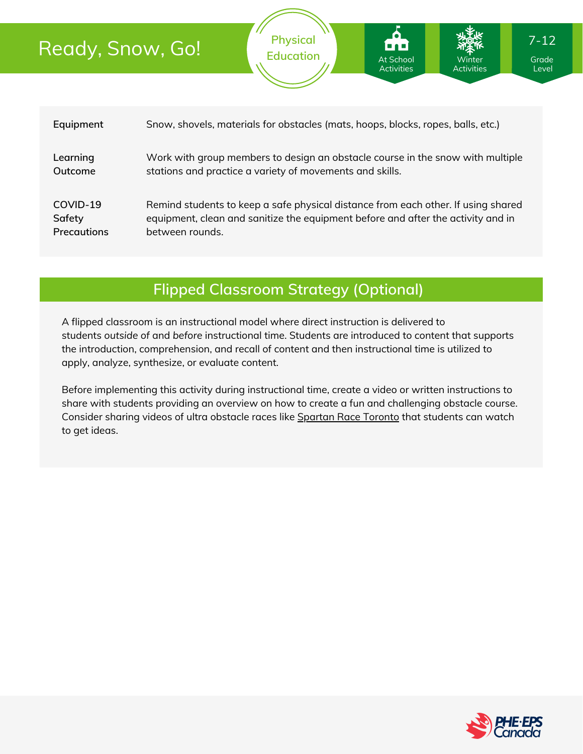## Ready, Snow, Go!

| Equipment          | Snow, shovels, materials for obstacles (mats, hoops, blocks, ropes, balls, etc.)  |
|--------------------|-----------------------------------------------------------------------------------|
| Learning           | Work with group members to design an obstacle course in the snow with multiple    |
| Outcome            | stations and practice a variety of movements and skills.                          |
| COVID-19           | Remind students to keep a safe physical distance from each other. If using shared |
| Safety             | equipment, clean and sanitize the equipment before and after the activity and in  |
| <b>Precautions</b> | between rounds.                                                                   |

**Physical Education**

At School Activities

## **Flipped Classroom Strategy (Optional)**

A flipped classroom is an instructional model where direct instruction is delivered to students *outside of* and *before* instructional time. Students are introduced to content that supports the introduction, comprehension, and recall of content and then instructional time is utilized to apply, analyze, synthesize, or evaluate content.

Before implementing this activity during instructional time, create a video or written instructions to share with students providing an overview on how to create a fun and challenging obstacle course. Consider sharing videos of ultra obstacle races like [Spartan](https://www.runguides.com/event/1997/spartan-race-toronto) Race Toronto that students can watch to get ideas.



Grade Level

Winter Activities 7-12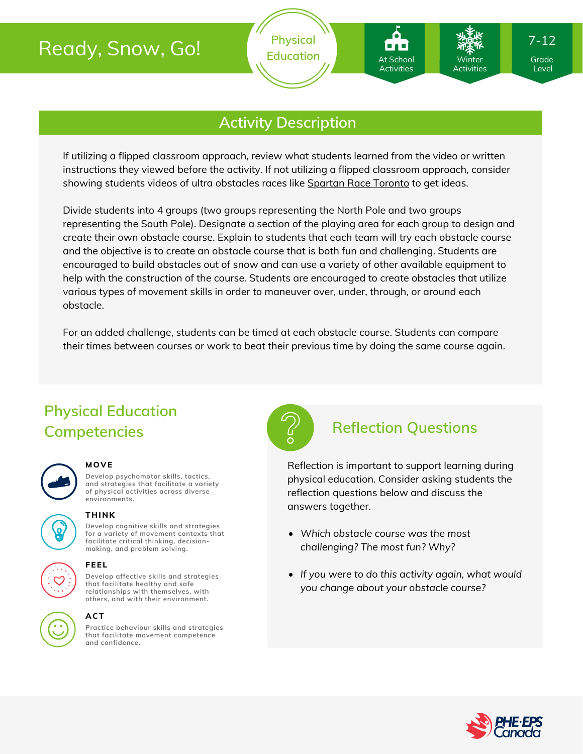## Ready, Snow, Go!

## **Activity Description**

If utilizing a flipped classroom approach, review what students learned from the video or written instructions they viewed before the activity. If not utilizing a flipped classroom approach, consider showing students videos of ultra obstacles races like [Spartan](https://www.runguides.com/event/1997/spartan-race-toronto) Race Toronto to get ideas.

Divide students into 4 groups (two groups representing the North Pole and two groups representing the South Pole). Designate a section of the playing area for each group to design and create their own obstacle course. Explain to students that each team will try each obstacle course and the objective is to create an obstacle course that is both fun and challenging. Students are encouraged to build obstacles out of snow and can use a variety of other available equipment to help with the construction of the course. Students are encouraged to create obstacles that utilize various types of movement skills in order to maneuver over, under, through, or around each obstacle.

For an added challenge, students can be timed at each obstacle course. Students can compare their times between courses or work to beat their previous time by doing the same course again.

## **Physical Education Competencies Reflection Questions**



#### **MOVE**

**Develop psychomotor skills, tactics, and strategies that facilitate a variety of physical activities across diverse environments.**

# **THINK**

**Develop cognitive skills and strategies**

**for a variety of movement contexts that facilitate critical thinking, decision making, and problem solving.**

**FEEL**



**Develop affective skills and strategies that facilitate healthy and safe relationships with themselves, with others, and with their environment.**

#### **ACT**

**Practice behaviour skills and strategies that facilitate movement competence and confidence.**



At School Activities

 $\overline{\mathsf{W}}$ inter Activities

Reflection is important to support learning during physical education. Consider asking students the reflection questions below and discuss the answers together.

- *Which obstacle course was the most challenging? The most fun? Why?*
- *If you were to do this activity again, what would you change about your obstacle course?*



Level

7-12